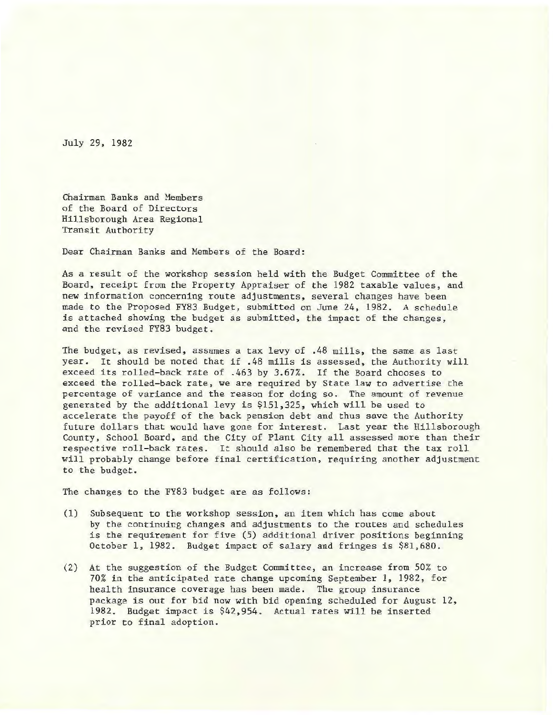July 29, 1982

Chairman Banks and Members of the Board of Directors Hillsborough Area Regional Transit Authority

Dear Chairman Banks and Members of the Board:

As a result of the workshop session held with the Budget Committee of the Board, receipt from the Property Appraiser of the 1982 taxable values, and new information concerning route adjustments, several changes have been made to the Proposed FY83 Budget, submitted on June 24, 1982. A schedule is attached showing the budget as submitted, the impact of the changes, and the revised FY83 budget.

The budget, as revised, assumes a tax levy of .48 mills, the same as last year. It should be noted that if .48 mills is assessed, the Authority will exceed its rolled-back rate of .463 by 3.67%. If the Board chooses to exceed the rolled-back rate, we are required by State law to advertise the percentage of variance and the reason for doing so. The amount of revenue generated by the additional levy is \$151,325, which will be used to accelerate the payoff of the back pension debt and thus save the Authority future dollars that would have gone for interest. Last year the Hillsborough County, School Board, and the City of Plant City all assessed more than their respective roll-back rates. It should also be remembered that the tax roll will probably change before final certification, requiring another adjustment to the budget.

The changes to the FY83 budget are as follows:

- (1) Subsequent to the workshop session, an item which has come about by the continuing changes and adjustments to the routes and schedules is the requirement for five (5) additional driver positions beginning October 1, 1982. Budget impact of salary and fringes is \$81,680.
- (2) At the suggestion of the Budget Committee, an increase from 50% to 70% in the anticipated rate change upcoming September 1, 1982, for health insurance coverage has been made. The group insurance package is out for bid now with bid opening scheduled for August 12, 1982. Budget impact is \$42,954. Actual rates will be inserted prior to final adoption.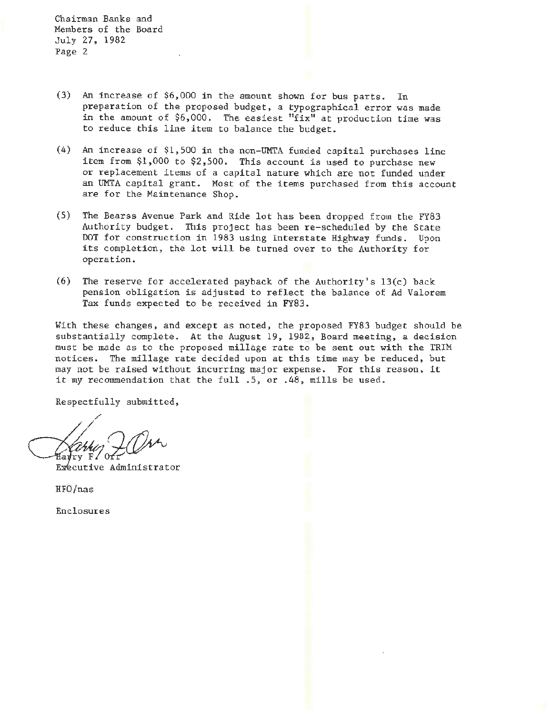Chairman Banks and Members of the Board July 27, 1982 Page 2

- (3) An increase of \$6,000 in the amount shown for bus parts. In preparation of the proposed budget, a typographical error was made in the amount of  $$6,000$ . The easiest "fix" at production time was to reduce this line item to balance the budget.
- $(4)$  An increase of \$1,500 in the non-UMTA funded capital purchases line item from \$1,000 to \$2,500. This account is used to purchase new or replacement items of a capital nature which are not funded under an UMTA capital grant. Most of the items purchased from this account are for the Maintenance Shop.
- (5) The Bearss Avenue Park and Ride lot has been dropped from the FY83 Authority budget. This project has been re-scheduled by the State DOT for construction in 1983 using Interstate Highway funds. Upon its completion, the lot will be turned over to the Authority for operation .
- (6) The reserve for accelerated payback of the Authority's 13(c) back pension obligation is adjusted to reflect the balance of Ad Valorem Tax funds expected to be received in FY83 .

With these changes, and except as noted, the proposed FY83 budget should be substantially complete. At the August 19, 1982, Board meeting, a decision must be made as to the proposed millage rate to be sent out with the TRIM notices. The millage rate decided upon at this time may be reduced, but may not be raised without incurring major expense. For this reason, it it my recommendation that the full .5, or .48, mills be used.

Respectfully submitted,

Executive Administrator

HFO/nas

Enclosures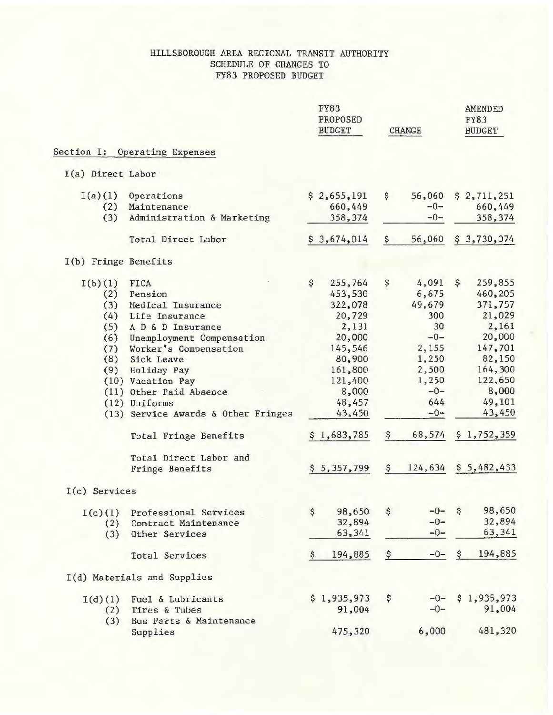### HILLSBOROUGH AREA REGIONAL TRANSIT AUTHORITY SCHEDULE OF CHANGES TO FY83 PROPOSED BUDGET

|                      |                                     |    | <b>FY83</b><br>PROPOSED<br><b>BUDGET</b> |               | <b>CHANGE</b> |               | <b>AMENDED</b><br><b>FY83</b><br><b>BUDGET</b> |
|----------------------|-------------------------------------|----|------------------------------------------|---------------|---------------|---------------|------------------------------------------------|
| Section I:           | Operating Expenses                  |    |                                          |               |               |               |                                                |
| I(a) Direct Labor    |                                     |    |                                          |               |               |               |                                                |
| I(a)(1)              | Operations                          |    | \$2,655,191                              | \$            | 56,060        |               | \$2,711,251                                    |
| (2)                  | Maintenance                         |    | 660,449                                  |               | $-0-$         |               | 660,449                                        |
| (3)                  | Administration & Marketing          |    | 358,374                                  |               | $-0-$         |               | 358,374                                        |
|                      | Total Direct Labor                  |    | \$3,674,014                              | $\frac{1}{2}$ | 56,060        |               | \$3,730,074                                    |
| I(b) Fringe Benefits |                                     |    |                                          |               |               |               |                                                |
| I(b)(1)              | <b>FICA</b>                         | \$ | 255,764                                  | \$            | 4,091         | \$.           | 259,855                                        |
| (2)                  | Pension                             |    | 453,530                                  |               | 6,675         |               | 460,205                                        |
| (3)                  | Medical Insurance                   |    | 322,078                                  |               | 49,679        |               | 371,757                                        |
| (4)                  | Life Insurance                      |    | 20,729                                   |               | 300           |               | 21,029                                         |
| (5)                  | A D & D Insurance                   |    | 2,131                                    |               | 30            |               | 2,161                                          |
| (6)                  | Unemployment Compensation           |    | 20,000                                   |               | $-0-$         |               | 20,000                                         |
| (7)                  | Worker's Compensation               |    | 145,546                                  |               | 2,155         |               | 147,701                                        |
| (8)                  | Sick Leave                          |    | 80,900                                   |               | 1,250         |               | 82,150                                         |
| (9)                  | Holiday Pay                         |    | 161,800                                  |               | 2,500         |               | 164,300                                        |
|                      | (10) Vacation Pay                   |    | 121,400                                  |               | 1,250         |               | 122,650                                        |
|                      | (11) Other Paid Absence             |    | 8,000                                    |               | $-0-$         |               | 8,000                                          |
|                      | (12) Uniforms                       |    | 48,457                                   |               | 644           |               | 49,101                                         |
|                      | (13) Service Awards & Other Fringes |    | 43,450                                   |               | $-0-$         |               | 43,450                                         |
|                      |                                     |    |                                          |               |               |               |                                                |
|                      | Total Fringe Benefits               |    | \$1,683,785                              | \$            | 68,574        |               | \$1,752,359                                    |
|                      | Total Direct Labor and              |    |                                          |               |               |               |                                                |
|                      | Fringe Benefits                     |    | \$5,357,799                              | \$            | 124,634       |               | \$5,482,433                                    |
| $I(c)$ Services      |                                     |    |                                          |               |               |               |                                                |
| I(c)(1)              | Professional Services               | \$ | 98,650                                   | \$            | $-0-$         | \$            | 98,650                                         |
| (2)                  | Contract Maintenance                |    | 32,894                                   |               | $-0-$         |               | 32,894                                         |
| (3)                  | Other Services                      |    | 63,341                                   |               | $-0-$         |               | 63,341                                         |
|                      | <b>Total Services</b>               | Ş. | 194,885                                  | \$            | $-0-$         | $\mathcal{S}$ | 194,885                                        |
|                      | I(d) Materials and Supplies         |    |                                          |               |               |               |                                                |
| I(d)(1)              | Fuel & Lubricants                   |    | \$1,935,973                              | \$            | $-0-$         |               | \$1,935,973                                    |
| (2)                  | Tires & Tubes                       |    | 91,004                                   |               | $-0-$         |               | 91,004                                         |
| (3)                  | Bus Parts & Maintenance             |    |                                          |               |               |               |                                                |
|                      | Supplies                            |    | 475,320                                  |               | 6,000         |               | 481,320                                        |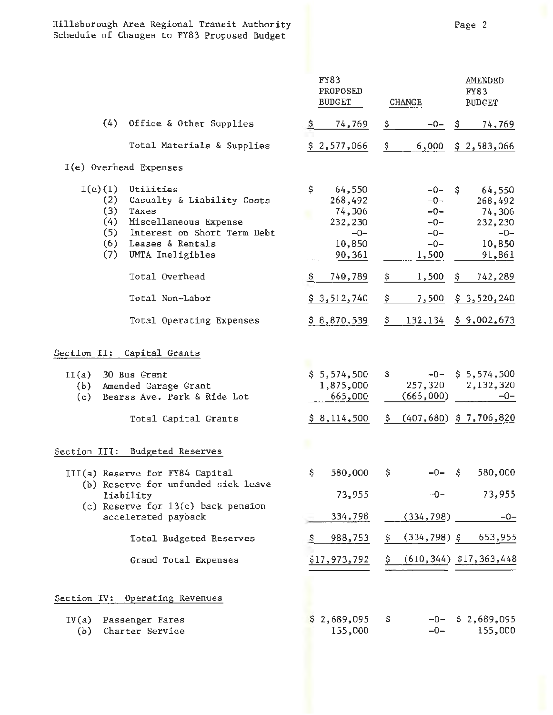## Hillsborough Area Regional Transit Authority Schedule of Changes to FY83 Proposed Budget

|                                                      |                                                                                                                                                                                       |          | FY83<br>PROPOSED<br><b>BUDGET</b>                                                             |          | <b>CHANGE</b>                                                                 |         | AMENDED<br>FY83<br><b>BUDGET</b>                                                              |
|------------------------------------------------------|---------------------------------------------------------------------------------------------------------------------------------------------------------------------------------------|----------|-----------------------------------------------------------------------------------------------|----------|-------------------------------------------------------------------------------|---------|-----------------------------------------------------------------------------------------------|
| (4)                                                  | Office & Other Supplies                                                                                                                                                               | \$       | 74,769                                                                                        | \$       | $-0-$                                                                         | Ş.      | 74,769                                                                                        |
|                                                      | Total Materials & Supplies                                                                                                                                                            |          | \$2,577,066                                                                                   | \$       | 6,000                                                                         |         | \$2,583,066                                                                                   |
| I(e) Overhead Expenses                               |                                                                                                                                                                                       |          |                                                                                               |          |                                                                               |         |                                                                                               |
| $I(e)$ (1)<br>(2)<br>(3)<br>(4)<br>(5)<br>(6)<br>(7) | Utilities<br>Casualty & Liability Costs<br>Taxes<br>Miscellaneous Expense<br>Interest on Short Term Debt<br>Leases & Rentals<br>UMTA Ineligibles<br>Total Overhead<br>Total Non-Labor | \$<br>S. | 64,550<br>268,492<br>74,306<br>232,230<br>$-0-$<br>10,850<br>90,361<br>740,789<br>\$3,512,740 | \$<br>\$ | $-0-$<br>$-0-$<br>$-0-$<br>$-0-$<br>$-0-$<br>$-0-$<br>1,500<br>1,500<br>7,500 | s<br>Ş. | 64,550<br>268,492<br>74,306<br>232,230<br>$-0-$<br>10,850<br>91,861<br>742,289<br>\$3,520,240 |
|                                                      | Total Operating Expenses                                                                                                                                                              |          | \$8,870,539                                                                                   | \$.      | 132,134                                                                       |         | \$9,002,673                                                                                   |
| LI(a)                                                | Section II: Capital Grants<br>30 Bus Grant                                                                                                                                            |          | \$5,574,500                                                                                   | \$       | $-0-$                                                                         |         | \$5,574,500                                                                                   |
| (b)<br>(c)                                           | Amended Garage Grant<br>Bearss Ave. Park & Ride Lot                                                                                                                                   |          | 1,875,000<br>665,000                                                                          |          | 257,320<br>(665,000)                                                          |         | 2,132,320<br>$-0-$                                                                            |
|                                                      | Total Capital Grants                                                                                                                                                                  |          | \$8,114,500                                                                                   | S,       |                                                                               |         | $(407, 680)$ \$ 7,706,820                                                                     |
| Section III:                                         | <b>Budgeted Reserves</b>                                                                                                                                                              |          |                                                                                               |          |                                                                               |         |                                                                                               |
|                                                      | III(a) Reserve for FY84 Capital<br>(b) Reserve for unfunded sick leave                                                                                                                | \$.      | 580,000                                                                                       | \$.      | $-0 - 5$                                                                      |         | 580,000                                                                                       |
|                                                      | liability                                                                                                                                                                             |          | 73,955                                                                                        |          | $-0-$                                                                         |         | 73,955                                                                                        |
|                                                      | (c) Reserve for $13(c)$ back pension<br>accelerated payback                                                                                                                           |          | 334,798                                                                                       |          | (334, 798)                                                                    |         | $-0-$                                                                                         |
|                                                      | Total Budgeted Reserves                                                                                                                                                               | Ş.       | 988,753                                                                                       | \$.      | $(334, 798)$ \$                                                               |         | 653,955                                                                                       |
|                                                      | Grand Total Expenses                                                                                                                                                                  |          | \$17,973,792                                                                                  |          |                                                                               |         | $(610, 344)$ \$17, 363, 448                                                                   |
|                                                      | Section IV: Operating Revenues                                                                                                                                                        |          |                                                                                               |          |                                                                               |         |                                                                                               |
| IV(a)<br>(b)                                         | Passenger Fares<br>Charter Service                                                                                                                                                    | S        | 2,689,095<br>155,000                                                                          | \$       | $-0-$                                                                         |         | $-0 - 52,689,095$<br>155,000                                                                  |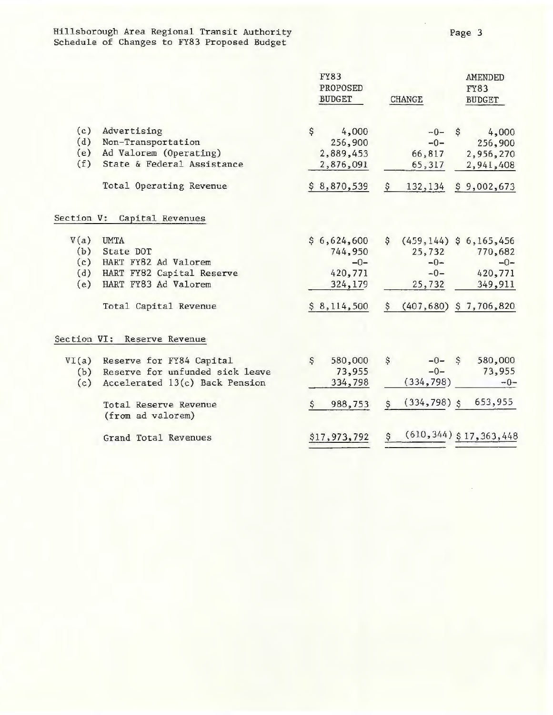Hillsborough Area Regional Transit Authority Page 3 Schedule of Changes to FY83 Proposed Budget

|            |                                                             |    | <b>FY83</b><br>PROPOSED<br><b>BUDGET</b>            | <b>CHANGE</b> |   | <b>AMENDED</b><br><b>FY83</b><br><b>BUDGET</b> |
|------------|-------------------------------------------------------------|----|-----------------------------------------------------|---------------|---|------------------------------------------------|
| (c)        | Advertising                                                 | \$ | 4,000                                               | $-0-$         | S | 4,000                                          |
| (d)        | Non-Transportation                                          |    | 256,900                                             | $-0-$         |   | 256,900                                        |
| (e)        | Ad Valorem (Operating)                                      |    | 2,889,453                                           | 66,817        |   | 2,956,270                                      |
| (f)        | State & Federal Assistance                                  |    | 2,876,091                                           | 65,317        |   | 2,941,408                                      |
|            | Total Operating Revenue                                     | S. | 8,870,539                                           | \$<br>132,134 |   | \$9,002,673                                    |
| Section V: | Capital Revenues                                            |    |                                                     |               |   |                                                |
|            | $\mathbf{v} \cdot \mathbf{v} = \mathbf{v} \cdot \mathbf{v}$ |    | $\lambda$ and ann $\lambda$ along a lit is now to a |               |   |                                                |

| V(a)       | <b>UMTA</b>                                                       | \$6,624,600       | \$.           | $(459, 144)$ \$ 6,165,456 |                              |
|------------|-------------------------------------------------------------------|-------------------|---------------|---------------------------|------------------------------|
| (b)        | State DOT                                                         | 744,950           |               | 25,732                    | 770,682                      |
| (c)        | HART FY82 Ad Valorem                                              | $-0-$             |               | $-0-$                     | $-0-$                        |
| (d)        | HART FY82 Capital Reserve                                         | 420,771           |               | $-0-$                     | 420,771                      |
| (e)        | HART FY83 Ad Valorem                                              | 324,179           |               | 25,732                    | 349,911                      |
|            | Total Capital Revenue                                             | \$8,114,500       | S.            | $(407, 680)$ \$ 7,706,820 |                              |
|            | Section VI: Reserve Revenue                                       |                   |               |                           |                              |
| VI(a)      | Reserve for FY84 Capital                                          | \$<br>580,000     | $\mathcal{S}$ | $-0 - S$                  | 580,000                      |
| (b)<br>(c) | Reserve for unfunded sick leave<br>Accelerated 13(c) Back Pension | 73,955<br>334,798 |               | $-0-$<br>(334, 798)       | 73,955<br>$-0-$              |
|            | Total Reserve Revenue                                             | 988,753           | S             | $(334, 798)$ \$           | 653,955                      |
|            | (from ad valorem)<br>Grand Total Revenues                         | \$17,973,792      | \$            |                           | $(610, 344)$ \$ 17, 363, 448 |
|            |                                                                   |                   |               |                           |                              |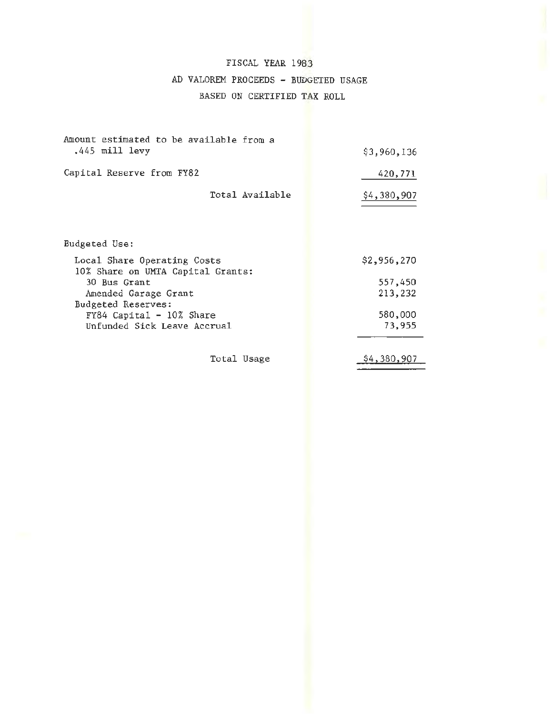# FISCAL YEAR 1983 AD VALOREM PROCEEDS - BUDGETED USAGE BASED ON CERTIFIED TAX ROLL

| Amount estimated to be available from a<br>.445 mill levy        | \$3,960,136 |
|------------------------------------------------------------------|-------------|
| Capital Reserve from FY82                                        | 420,771     |
| Total Available                                                  | \$4,380,907 |
|                                                                  |             |
| Budgeted Use:                                                    |             |
| Local Share Operating Costs<br>10% Share on UMTA Capital Grants: | \$2,956,270 |
| 30 Bus Grant                                                     | 557,450     |
| Amended Garage Grant<br>Budgeted Reserves:                       | 213,232     |
| FY84 Capital - 10% Share                                         | 580,000     |
| Unfunded Sick Leave Accrual                                      | 73,955      |
|                                                                  |             |
| Total Usage                                                      | \$4,380,907 |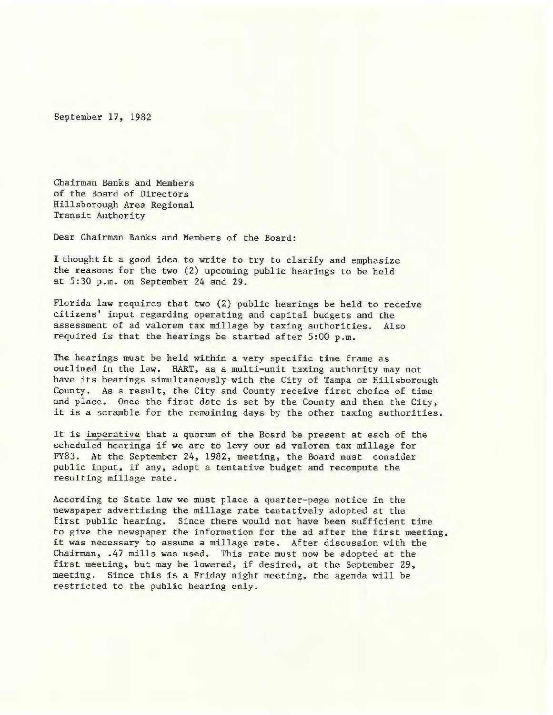September 17, 1982

Chairman Banks and Members of the Board of Directors Hillsborough Area Regional Transit Authority

Dear Chairman Banks and Members of the Board:

I thought it a good idea to write to try to clarify and emphasize the reasons for the two (2) upcoming public hearings to be held at 5:30 p.m. on September 24 and 29 .

Florida law requires that two (2) public hearings be held to receive citizens' input regarding operating and capital budgets and the assessment of ad valorem tax millage by taxing authorities. Also required is that the hearings be started after 5:00 p.m.

The hearings must be held within a very specific time frame as outlined in the law. HART, as a multi-unit taxing authority may not have its hearings simultaneously with the City of Tampa or Hillsborough County. As a result, the City and County receive first choice of time and place. Once the first date is set by the County and then the City, it is a scramble for the remaining days by the other taxing authorities.

It is imperative that a quorum of the Board be present at each of the scheduled hearings if we are to levy our ad valorem tax millage for FY83. At the September 24, 1982, meeting, the Board must consider public input, if any, adopt a tentative budget and recompute the resulting millage rate.

According to State law we must place a quarter-page notice in the newspaper advertising the millage rate tentatively adopted at the first public hearing. Since there would not have been sufficient time to give the newspaper the information for the ad after the first meeting, it was necessary to assume a millage rate. After discussion with the Chairman, .47 mills was used. This rate must now be adopted at the first meeting, but may be lowered, if desired, at the September 29, meeting. Since this is a Friday night meeting, the agenda will be restricted to the public hearing only.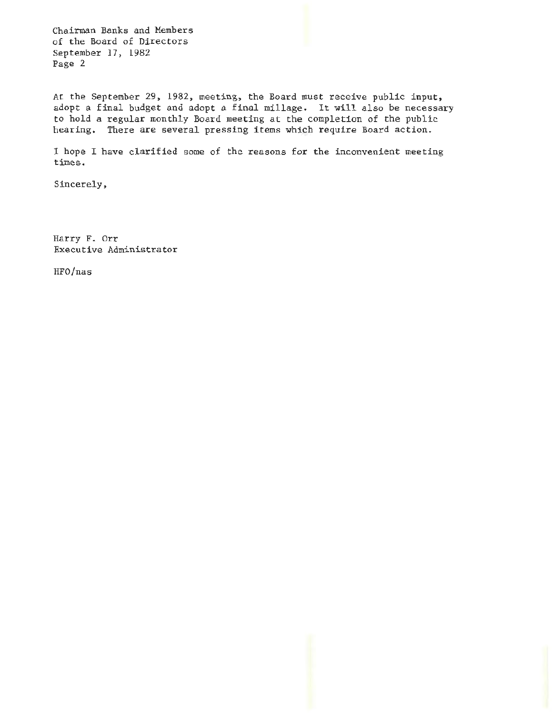Chairman Banks and Members of the Board of Directors September 17, 1982 Page 2

At the September 29, 1982, meeting, the Board must receive public input, adopt a final budget and adopt a final millage. It will also be necessary to hold a regular monthly Board meeting at the completion of the public hearing. There are several pressing items which require Board action.

I hope I have clarified some of the reasons for the inconvenient meeting times.

Sincerely,

Harry F. Orr Executive Administrator

HFO/nas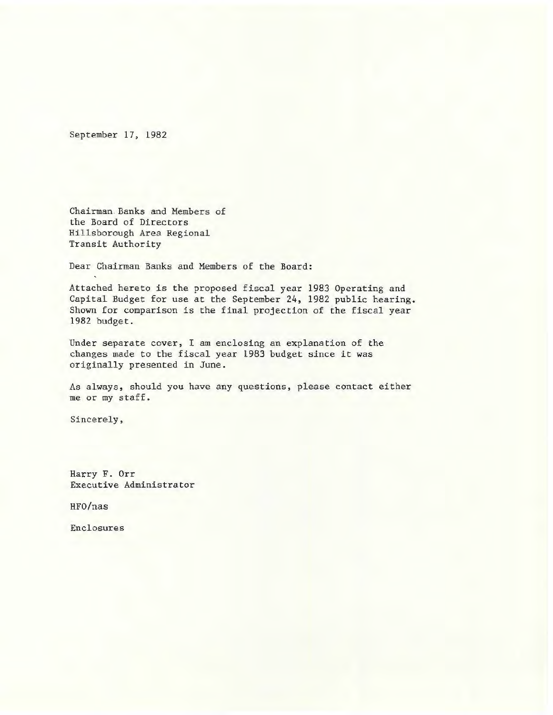September 17, 1982

Chairman. Banks and Members of the Board of Directors Hillsborough Area Regional Transit Authority

Dear Chairman Banks and Members of the Board:

Attached hereto is the proposed fiscal year 1983 Operating and Capital Budget for use at the September 24, 1982 public hearing. Shown for comparison is the final projection of the fiscal year 1982 budget.

Under separate cover, I am enclosing an explanation of the changes made to the fiscal year 1983 budget since it was originally presented in June.

As always, should you have any questions, please contact either me or my staff.

Sincerely,

Harry F. Orr Executive Administrator

HFO/nas

Enclosures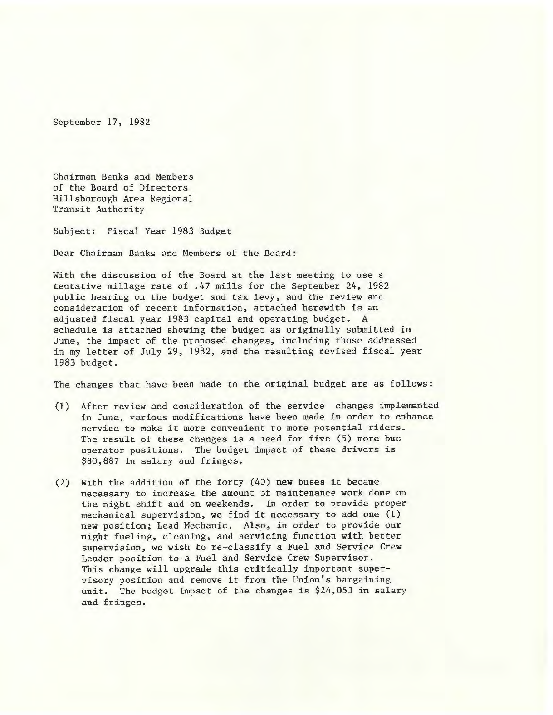September 17, 1982

Chairman Banks and Members of the Board of Directors Hillsborough Area Regional Transit Authority

Subject: Fiscal Year 1983 Budget

Dear Chairman Banks and Members of the Board:

With the discussion of the Board at the last meeting to use a tentative millage rate of .47 mills for the September 24, 1982 public hearing on the budget and tax levy, and the review and consideration of recent information, attached herewith is an adjusted fiscal year 1983 capital and operating budget. A schedule is attached showing the budget as originally submitted in June, the impact of the proposed changes, including those addressed in my letter of July 29, 1982, and the resulting revised fiscal year 1983 budget.

The changes that have been made to the original budget are as follows:

- (1) After review and consideration of the service changes implemented in June, various modifications have been made in order to enhance service to make it more convenient to more potential riders. The result of these changes is a need for five (5) more bus operator positions. The budget impact of these drivers is \$80,887 in salary and fringes.
- (2) With the addition of the forty (40) new buses it became necessary to increase the amount of maintenance work done on the night shift and on weekends. In order to provide proper mechanical supervision, we find it necessary to add one (1) new position; Lead Mechanic. Also, in order to provide our night fueling, cleaning, and servicing function with better supervision, we wish to re-classify a Fuel and Service Crew Leader position to ·a Fuel and Service Crew Supervisor. This change will upgrade this critically important supervisory position and remove it from the Union's bargaining unit. The budget impact of the changes is \$24,053 in salary and fringes.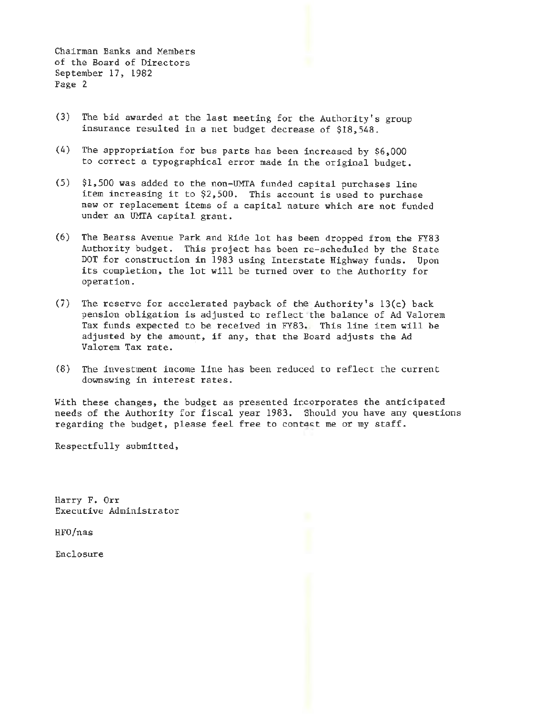Chairman Banks and Members of the Board of Directors September 17, 1982 Page 2

- (3) The bid awarded at the last meeting for the Authority's group insurance resulted in a net budget decrease of \$18,548.
- (4) The appropriation for bus parts has been increased by \$6,000 to correct a typographical error made in the original budget.
- (5) \$1,500 was added to the non-UMTA funded capital purchases line item increasing it to \$2,500. This account is used to purchase new or replacement items of a capital nature which are not funded under an UMTA capital grant.
- (6) The Bearss Avenue Park and Ride lot has been dropped from the FY83 Authority budget. This project has been re- scheduled by the State DOT for construction in 1983 using Interstate Highway funds. Upon its completion, the lot will be turned over to the Authority for operation.
- (7) The reserve for accelerated payback of the Authority's 13(c) back pension obligation is adjusted to reflect the balance of Ad Valorem Tax funds expected to be received in FY83. This line item will be adjusted by the amount, if any, that the Board adjusts the Ad Valorem Tax rate.
- (8) The investment income line has been reduced to reflect the current downswing in interest rates.

With these changes, the budget as presented incorporates the anticipated needs of the Authority for fiscal year 1983. Should you have any questions regarding the budget, please feel free to contact me or my staff.

Respectfully submitted,

Harry F. Orr Executive Administrator

HFO/nas

Enclosure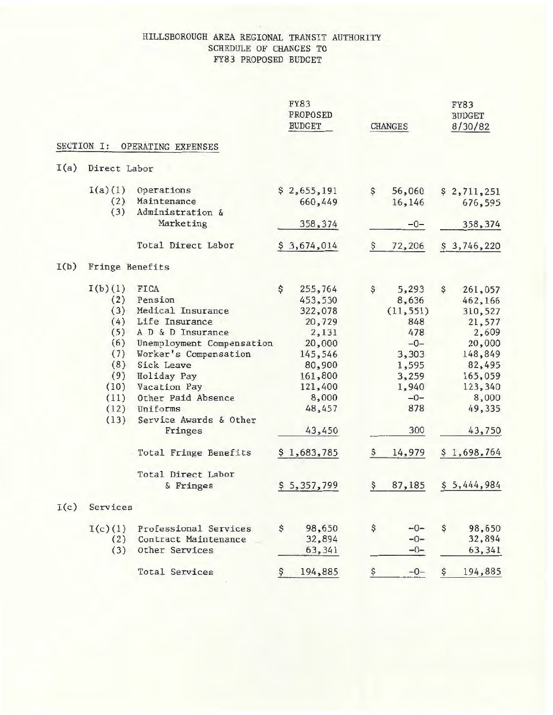### HILLSBOROUGH AREA REGIONAL TRANSIT AUTHORITY SCHEDULE OF CHANGES TO FY83 PROPOSED BUDGET

|      |                 |                                                    | <b>FY83</b><br>PROPOSED<br><b>BUDGET</b> | <b>CHANGES</b> | <b>FY83</b><br><b>BUDGET</b><br>8/30/82 |
|------|-----------------|----------------------------------------------------|------------------------------------------|----------------|-----------------------------------------|
|      | SECTION I:      | OPERATING EXPENSES                                 |                                          |                |                                         |
| I(a) | Direct Labor    |                                                    |                                          |                |                                         |
|      | I(a)(1)         | Operations                                         | \$2,655,191                              | \$<br>56,060   | \$2,711,251                             |
|      | (2)             | Maintenance                                        | 660,449                                  | 16,146         | 676,595                                 |
|      | (3)             | Administration &                                   |                                          |                |                                         |
|      |                 | Marketing                                          | 358, 374                                 | $-0-$          | 358,374                                 |
|      |                 | Total Direct Labor                                 | 3,674,014                                | 72,206<br>Ş    | \$3,746,220                             |
| I(b) | Fringe Benefits |                                                    |                                          |                |                                         |
|      | I(b)(1)         | FICA                                               | \$<br>255,764                            | \$<br>5,293    | \$<br>261,057                           |
|      | (2)             | Pension                                            | 453,530                                  | 8,636          | 462,166                                 |
|      | (3)             | Medical Insurance                                  | 322,078                                  | (11, 551)      | 310,527                                 |
|      | (4)             | Life Insurance                                     | 20,729                                   | 848            | 21,577                                  |
|      | (5)             | A D & D Insurance                                  | 2,131                                    | 478            | 2,609                                   |
|      | (6)             |                                                    |                                          | $-0-$          |                                         |
|      |                 | Unemployment Compensation<br>Worker's Compensation | 20,000                                   |                | 20,000<br>148,849                       |
|      | (7)             |                                                    | 145,546                                  | 3,303          |                                         |
|      | (8)             | Sick Leave                                         | 80,900                                   | 1,595          | 82,495                                  |
|      | (9)             | Holiday Pay                                        | 161,800                                  | 3,259          | 165,059                                 |
|      | (10)            | Vacation Pay                                       | 121,400                                  | 1,940          | 123,340                                 |
|      | (11)            | Other Paid Absence                                 | 8,000                                    | $-0-$          | 8,000                                   |
|      | (12)            | Uniforms                                           | 48,457                                   | 878            | 49,335                                  |
|      | (13)            | Service Awards & Other                             |                                          |                |                                         |
|      |                 | Fringes                                            | 43,450                                   | 300            | 43,750                                  |
|      |                 | Total Fringe Benefits                              | \$1,683,785                              | 14,979<br>Ş    | \$1,698,764                             |
|      |                 | Total Direct Labor                                 |                                          |                |                                         |
|      |                 | & Fringes                                          | \$5,357,799                              | 87,185<br>Ş    | \$5,444,984                             |
| I(c) | Services        |                                                    |                                          |                |                                         |
|      | I(c)(1)         | Professional Services                              | \$<br>98,650                             | \$<br>$-0-$    | \$<br>98,650                            |
|      | (2)             | Contract Maintenance                               | 32,894                                   | $-0-$          | 32,894                                  |
|      | (3)             | Other Services                                     | 63,341                                   | $-0-$          | 63,341                                  |
|      |                 | <b>Total Services</b>                              | 194,885<br>Ş.                            | $-0-$<br>Ş     | 194,885<br>S                            |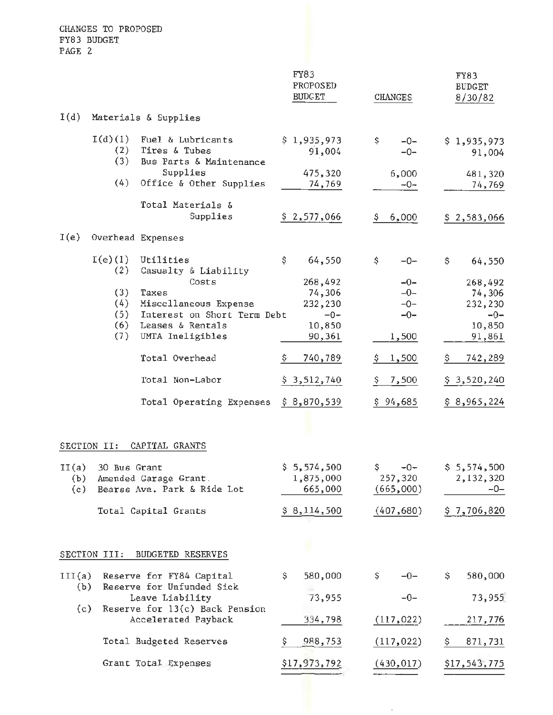CHANGES TO PROPOSED FY83 BUDGET. PAGE 2

|                     |                          |                                                                                   | FY83<br>PROPOSED<br><b>BUDGET</b>    | <b>CHANGES</b>                      | <b>FY83</b><br><b>BUDGET</b><br>8/30/82 |
|---------------------|--------------------------|-----------------------------------------------------------------------------------|--------------------------------------|-------------------------------------|-----------------------------------------|
| I(d)                |                          | Materials & Supplies                                                              |                                      |                                     |                                         |
|                     | I(d)(1)<br>(2)<br>(3)    | Fuel & Lubricants<br>Tires & Tubes<br>Bus Parts & Maintenance                     | \$1,935,973<br>91,004                | \$<br>$-0-$<br>$-0-$                | \$1,935,973<br>91,004                   |
|                     | (4)                      | Supplies<br>Office & Other Supplies                                               | 475,320<br>74,769                    | 6,000<br>$-0-$                      | 481,320<br>74,769                       |
|                     |                          | Total Materials &<br>Supplies                                                     | \$2,577,066                          | 6,000<br>\$                         | \$2,583,066                             |
| I(e)                |                          | Overhead Expenses                                                                 |                                      |                                     |                                         |
|                     | $I(e)$ $(1)$<br>(2)      | Utilities<br>Casualty & Liability<br>Costs                                        | \$<br>64,550<br>268,492              | \$<br>$-0-$<br>$-0-$<br>$-0-$       | \$<br>64,550<br>268,492                 |
|                     | (3)<br>(4)<br>(5)<br>(6) | Taxes<br>Miscellaneous Expense<br>Interest on Short Term Debt<br>Leases & Rentals | 74,306<br>232,230<br>$-0-$<br>10,850 | $-0-$<br>$-0-$                      | 74,306<br>232,230<br>$-0-$<br>10,850    |
|                     | (7)                      | UMTA Ineligibles                                                                  | 90,361                               | 1,500                               | 91,861                                  |
|                     |                          | Total Overhead<br>Total Non-Labor                                                 | 740,789<br>\$.                       | 1,500                               | 742,289                                 |
|                     |                          |                                                                                   | \$3,512,740                          | 7,500<br>\$                         | \$3,520,240                             |
|                     | SECTION II:              | Total Operating Expenses<br>CAPITAL GRANTS                                        | \$8,870,539                          | \$94,685                            | \$8,965,224                             |
| II(a)<br>(b)<br>(c) | 30 Bus Grant             | Amended Garage Grant.<br>Bearss Ave. Park & Ride Lot                              | \$5,574,500<br>1,875,000<br>665,000  | \$<br>$-0-$<br>257,320<br>(665,000) | \$5,574,500<br>2,132,320<br>$-0-$       |
|                     |                          | Total Capital Grants                                                              | \$8,114,500                          | (407, 680)                          | \$7,706,820                             |
|                     | SECTION III:             | <b>BUDGETED RESERVES</b>                                                          |                                      |                                     |                                         |
| III(a)<br>(b)       |                          | Reserve for FY84 Capital<br>Reserve for Unfunded Sick                             | 580,000<br>\$                        | \$.<br>$-0-$                        | 580,000<br>Ş.                           |
| (c)                 |                          | Leave Liability<br>Reserve for 13(c) Back Pension                                 | 73,955                               | $-0-$                               | 73,955                                  |
|                     |                          | Accelerated Payback                                                               | 334,798                              | (117, 022)                          | 217,776                                 |
|                     |                          | Total Budgeted Reserves                                                           | \$<br>988,753                        | (117, 022)                          | 871,731<br>Ş                            |
|                     |                          | Grant Total Expenses                                                              | \$17,973,792                         | (430, 017)                          | <u>\$17,543,775</u>                     |
|                     |                          |                                                                                   |                                      |                                     |                                         |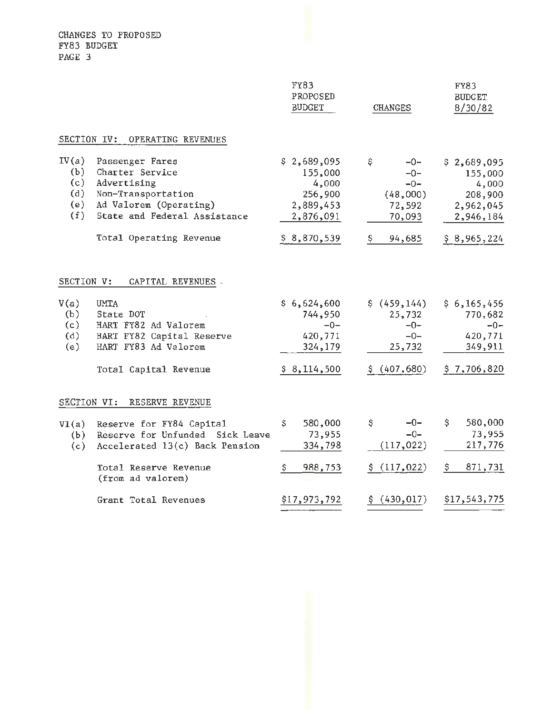CHANGES TO PROPOSED FY83 BUDGET PAGE 3

|                                          |                                                                                                                                                              | FY83<br>PROPOSED<br><b>BUDGET</b>                                                   | <b>CHANGES</b>                                                                | <b>FY83</b><br><b>BUDGET</b><br>8/30/82                                             |
|------------------------------------------|--------------------------------------------------------------------------------------------------------------------------------------------------------------|-------------------------------------------------------------------------------------|-------------------------------------------------------------------------------|-------------------------------------------------------------------------------------|
| SECTION IV:                              | OPERATING REVENUES                                                                                                                                           |                                                                                     |                                                                               |                                                                                     |
| IV(a)<br>(b)<br>(c)<br>(d)<br>(e)<br>(f) | Passenger Fares<br>Charter Service<br>Advertising<br>Non-Transportation<br>Ad Valorem (Operating)<br>State and Federal Assistance<br>Total Operating Revenue | \$2,689,095<br>155,000<br>4,000<br>256,900<br>2,889,453<br>2,876,091<br>\$8,870,539 | \$<br>$-0-$<br>$-0-$<br>$-0-$<br>(48,000)<br>72,592<br>70,093<br>\$<br>94,685 | \$2,689,095<br>155,000<br>4,000<br>208,900<br>2,962,045<br>2,946,184<br>\$8,965,224 |
| SECTION V:                               | CAPITAL REVENUES -                                                                                                                                           |                                                                                     |                                                                               |                                                                                     |
| V(a)<br>(b)<br>(c)<br>(d)<br>(e)         | <b>UMTA</b><br>State DOT<br>HART FY82 Ad Valorem<br>HART FY82 Capital Reserve<br>HART FY83 Ad Valorem<br>Total Capital Revenue                               | \$6,624,600<br>744,950<br>$-0-$<br>420,771<br>324,179<br>\$8,114,500                | \$(459, 144)<br>25,732<br>$-0-$<br>$-0-$<br>25,732<br>\$ (407, 680)           | \$6,165,456<br>770,682<br>$-0-$<br>420,771<br>349,911<br>\$7,706,820                |
| SECTION VI:                              | RESERVE REVENUE                                                                                                                                              |                                                                                     |                                                                               |                                                                                     |
| VI(a)<br>(b)<br>(c)                      | Reserve for FY84 Capital<br>Reserve for Unfunded Sick Leave<br>Accelerated 13(c) Back Pension<br>Total Reserve Revenue                                       | \$<br>580,000<br>73,955<br>334,798<br>\$<br>988,753                                 | \$<br>$-0-$<br>$-0-$<br>(117, 022)<br>\$(117, 022)                            | \$<br>580,000<br>73,955<br>217,776<br>871,731<br>Ş.                                 |
|                                          | (from ad valorem)<br>Grant Total Revenues                                                                                                                    | \$17,973,792                                                                        | \$(430, 017)                                                                  | \$17,543,775                                                                        |